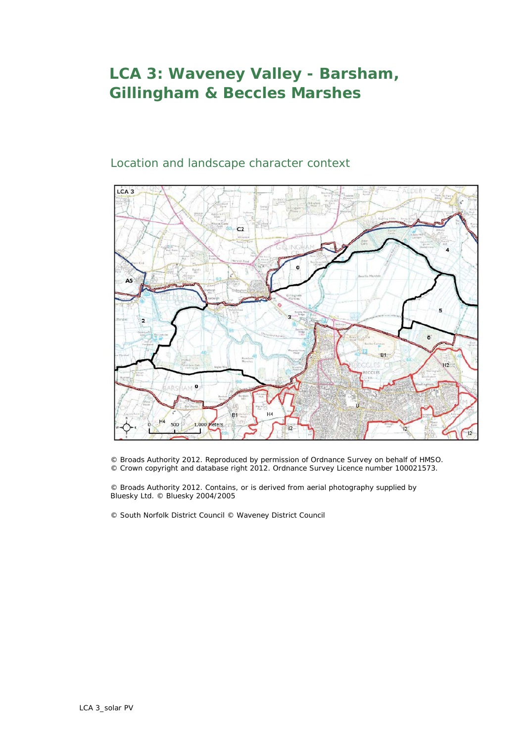## **LCA 3: Waveney Valley - Barsham, Gillingham & Beccles Marshes**

## Location and landscape character context



© Broads Authority 2012. Reproduced by permission of Ordnance Survey on behalf of HMSO. © Crown copyright and database right 2012. Ordnance Survey Licence number 100021573.

© Broads Authority 2012. Contains, or is derived from aerial photography supplied by Bluesky Ltd. © Bluesky 2004/2005

© South Norfolk District Council © Waveney District Council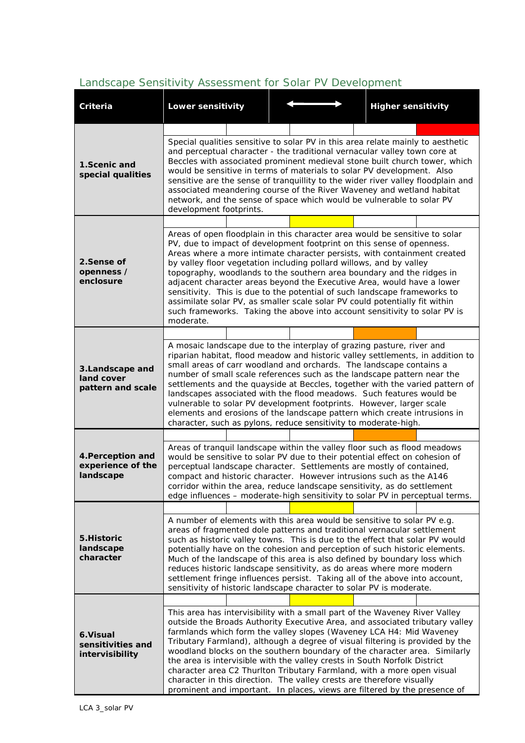## **Criteria Lower sensitivity Higher sensitivity 1.Scenic and special qualities** Special qualities sensitive to solar PV in this area relate mainly to aesthetic and perceptual character - the traditional vernacular valley town core at Beccles with associated prominent medieval stone built church tower, which would be sensitive in terms of materials to solar PV development. Also sensitive are the sense of tranquillity to the wider river valley floodplain and associated meandering course of the River Waveney and wetland habitat network, and the sense of space which would be vulnerable to solar PV development footprints. **2.Sense of openness / enclosure** Areas of open floodplain in this character area would be sensitive to solar PV, due to impact of development footprint on this sense of openness. Areas where a more intimate character persists, with containment created by valley floor vegetation including pollard willows, and by valley topography, woodlands to the southern area boundary and the ridges in adjacent character areas beyond the Executive Area, would have a lower sensitivity. This is due to the potential of such landscape frameworks to assimilate solar PV, as smaller scale solar PV could potentially fit within such frameworks. Taking the above into account sensitivity to solar PV is moderate. **3.Landscape and land cover pattern and scale**  A mosaic landscape due to the interplay of grazing pasture, river and riparian habitat, flood meadow and historic valley settlements, in addition to small areas of carr woodland and orchards. The landscape contains a number of small scale references such as the landscape pattern near the settlements and the quayside at Beccles, together with the varied pattern of landscapes associated with the flood meadows. Such features would be vulnerable to solar PV development footprints. However, larger scale elements and erosions of the landscape pattern which create intrusions in character, such as pylons, reduce sensitivity to moderate-high. **4.Perception and experience of the landscape** Areas of tranquil landscape within the valley floor such as flood meadows would be sensitive to solar PV due to their potential effect on cohesion of perceptual landscape character. Settlements are mostly of contained, compact and historic character. However intrusions such as the A146 corridor within the area, reduce landscape sensitivity, as do settlement edge influences – moderate-high sensitivity to solar PV in perceptual terms. **5.Historic landscape character**  A number of elements with this area would be sensitive to solar PV e.g. areas of fragmented dole patterns and traditional vernacular settlement such as historic valley towns. This is due to the effect that solar PV would potentially have on the cohesion and perception of such historic elements. Much of the landscape of this area is also defined by boundary loss which reduces historic landscape sensitivity, as do areas where more modern settlement fringe influences persist. Taking all of the above into account, sensitivity of historic landscape character to solar PV is moderate. **6.Visual sensitivities and intervisibility** This area has intervisibility with a small part of the Waveney River Valley outside the Broads Authority Executive Area, and associated tributary valley farmlands which form the valley slopes (Waveney LCA H4: Mid Waveney Tributary Farmland), although a degree of visual filtering is provided by the woodland blocks on the southern boundary of the character area. Similarly the area is intervisible with the valley crests in South Norfolk District character area C2 Thurlton Tributary Farmland, with a more open visual character in this direction. The valley crests are therefore visually prominent and important. In places, views are filtered by the presence of

## *Landscape Sensitivity Assessment for Solar PV Development*